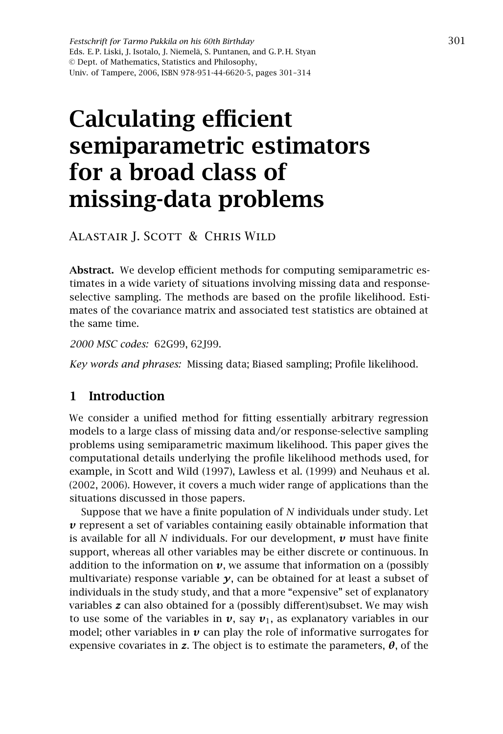*Festschrift for Tarmo Pukkila on his 60th Birthday* Eds. E. P. Liski, J. Isotalo, J. Niemelä, S. Puntanen, and G. P. H. Styan © Dept. of Mathematics, Statistics and Philosophy, Univ. of Tampere, 2006, ISBN 978-951-44-6620-5, pages 301–314

# Calculating efficient semiparametric estimators for a broad class of missing-data problems

Alastair J. Scott & Chris Wild

Abstract. We develop efficient methods for computing semiparametric estimates in a wide variety of situations involving missing data and responseselective sampling. The methods are based on the profile likelihood. Estimates of the covariance matrix and associated test statistics are obtained at the same time.

*2000 MSC codes:* 62G99, 62J99.

*Key words and phrases:* Missing data; Biased sampling; Profile likelihood.

## 1 Introduction

We consider a unified method for fitting essentially arbitrary regression models to a large class of missing data and/or response-selective sampling problems using semiparametric maximum likelihood. This paper gives the computational details underlying the profile likelihood methods used, for example, in Scott and Wild (1997), Lawless et al. (1999) and Neuhaus et al. (2002, 2006). However, it covers a much wider range of applications than the situations discussed in those papers.

Suppose that we have a finite population of *N* individuals under study. Let *v* represent a set of variables containing easily obtainable information that is available for all *N* individuals. For our development, *v* must have finite support, whereas all other variables may be either discrete or continuous. In addition to the information on  $v$ , we assume that information on a (possibly multivariate) response variable  $\gamma$ , can be obtained for at least a subset of individuals in the study study, and that a more "expensive" set of explanatory variables *z* can also obtained for a (possibly different)subset. We may wish to use some of the variables in  $v$ , say  $v_1$ , as explanatory variables in our model; other variables in  $\nu$  can play the role of informative surrogates for expensive covariates in **z**. The object is to estimate the parameters,  $\theta$ , of the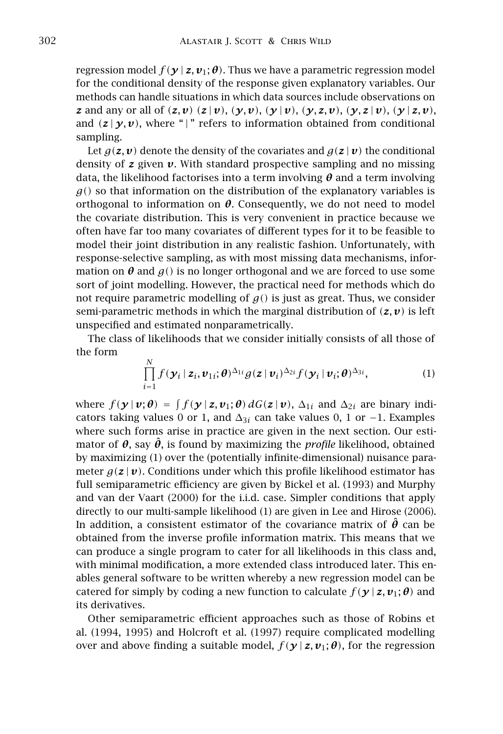regression model  $f(\gamma | z, v_i; \theta)$ . Thus we have a parametric regression model for the conditional density of the response given explanatory variables. Our methods can handle situations in which data sources include observations on z and any or all of  $(z, v)$   $(z | v)$ ,  $(y, v)$ ,  $(y | v)$ ,  $(y, z, v)$ ,  $(y, z | v)$ ,  $(y | z, v)$ , and  $(z | y, v)$ , where "|" refers to information obtained from conditional sampling.

Let  $g(z, v)$  denote the density of the covariates and  $g(z | v)$  the conditional density of  $z$  given  $v$ . With standard prospective sampling and no missing data, the likelihood factorises into a term involving *θ* and a term involving  $g()$  so that information on the distribution of the explanatory variables is orthogonal to information on  $\theta$ . Consequently, we do not need to model the covariate distribution. This is very convenient in practice because we often have far too many covariates of different types for it to be feasible to model their joint distribution in any realistic fashion. Unfortunately, with response-selective sampling, as with most missing data mechanisms, information on  $\theta$  and  $g$ () is no longer orthogonal and we are forced to use some sort of joint modelling. However, the practical need for methods which do not require parametric modelling of  $g()$  is just as great. Thus, we consider semi-parametric methods in which the marginal distribution of  $(z, v)$  is left unspecified and estimated nonparametrically.

The class of likelihoods that we consider initially consists of all those of the form

$$
\prod_{i=1}^N f(\boldsymbol{y}_i \mid \boldsymbol{z}_i, \boldsymbol{v}_{1i}; \boldsymbol{\theta})^{\Delta_{1i}} g(\boldsymbol{z} \mid \boldsymbol{v}_i)^{\Delta_{2i}} f(\boldsymbol{y}_i \mid \boldsymbol{v}_i; \boldsymbol{\theta})^{\Delta_{3i}},
$$
\n(1)

where  $f(\mathbf{y} | \mathbf{v}; \boldsymbol{\theta}) = \int f(\mathbf{y} | \mathbf{z}, \mathbf{v}_1; \boldsymbol{\theta}) dG(\mathbf{z} | \mathbf{v})$ ,  $\Delta_{1i}$  and  $\Delta_{2i}$  are binary indicators taking values 0 or 1, and  $\Delta_{3i}$  can take values 0, 1 or −1. Examples where such forms arise in practice are given in the next section. Our estimator of  $\theta$ , say  $\hat{\theta}$ , is found by maximizing the *profile* likelihood, obtained by maximizing (1) over the (potentially infinite-dimensional) nuisance parameter  $g(z | v)$ . Conditions under which this profile likelihood estimator has full semiparametric efficiency are given by Bickel et al. (1993) and Murphy and van der Vaart (2000) for the i.i.d. case. Simpler conditions that apply directly to our multi-sample likelihood (1) are given in Lee and Hirose (2006). In addition, a consistent estimator of the covariance matrix of *θ*ˆ can be obtained from the inverse profile information matrix. This means that we can produce a single program to cater for all likelihoods in this class and, with minimal modification, a more extended class introduced later. This enables general software to be written whereby a new regression model can be catered for simply by coding a new function to calculate  $f(\mathbf{y} | \mathbf{z}, \mathbf{v}_1; \boldsymbol{\theta})$  and its derivatives.

Other semiparametric efficient approaches such as those of Robins et al. (1994, 1995) and Holcroft et al. (1997) require complicated modelling over and above finding a suitable model,  $f(\mathbf{y} | \mathbf{z}, \mathbf{v}_1; \boldsymbol{\theta})$ , for the regression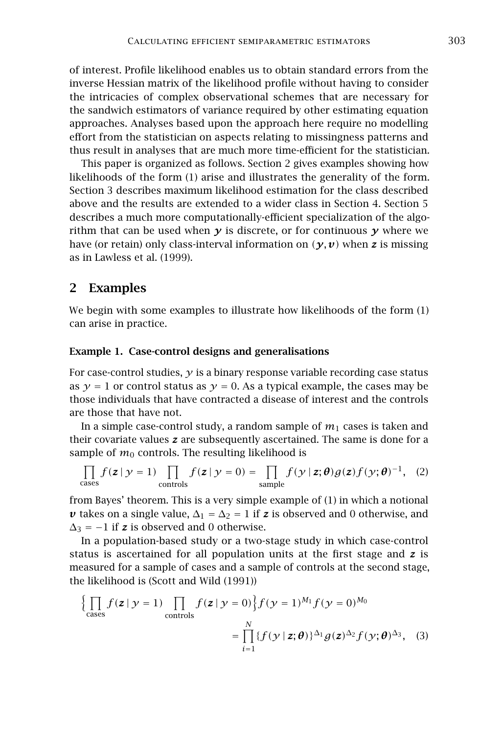of interest. Profile likelihood enables us to obtain standard errors from the inverse Hessian matrix of the likelihood profile without having to consider the intricacies of complex observational schemes that are necessary for the sandwich estimators of variance required by other estimating equation approaches. Analyses based upon the approach here require no modelling effort from the statistician on aspects relating to missingness patterns and thus result in analyses that are much more time-efficient for the statistician.

This paper is organized as follows. Section 2 gives examples showing how likelihoods of the form (1) arise and illustrates the generality of the form. Section 3 describes maximum likelihood estimation for the class described above and the results are extended to a wider class in Section 4. Section 5 describes a much more computationally-efficient specialization of the algorithm that can be used when  $\gamma$  is discrete, or for continuous  $\gamma$  where we have (or retain) only class-interval information on  $(\gamma, \nu)$  when **z** is missing as in Lawless et al. (1999).

## 2 Examples

We begin with some examples to illustrate how likelihoods of the form (1) can arise in practice.

#### Example 1. Case-control designs and generalisations

For case-control studies,  $\gamma$  is a binary response variable recording case status as  $\gamma = 1$  or control status as  $\gamma = 0$ . As a typical example, the cases may be those individuals that have contracted a disease of interest and the controls are those that have not.

In a simple case-control study, a random sample of  $m_1$  cases is taken and their covariate values *z* are subsequently ascertained. The same is done for a sample of  $m_0$  controls. The resulting likelihood is

$$
\prod_{\text{cases}} f(\mathbf{z} \mid \mathbf{y} = 1) \prod_{\text{controls}} f(\mathbf{z} \mid \mathbf{y} = 0) = \prod_{\text{sample}} f(\mathbf{y} \mid \mathbf{z}; \boldsymbol{\theta}) g(\mathbf{z}) f(\mathbf{y}; \boldsymbol{\theta})^{-1}, \tag{2}
$$

from Bayes' theorem. This is a very simple example of (1) in which a notional *v* takes on a single value,  $\Delta_1 = \Delta_2 = 1$  if *z* is observed and 0 otherwise, and  $\Delta_3 = -1$  if **z** is observed and 0 otherwise.

In a population-based study or a two-stage study in which case-control status is ascertained for all population units at the first stage and *z* is measured for a sample of cases and a sample of controls at the second stage, the likelihood is (Scott and Wild (1991))

$$
\left\{\prod_{\text{cases}} f(z \mid y = 1) \prod_{\text{controls}} f(z \mid y = 0)\right\} f(y = 1)^{M_1} f(y = 0)^{M_0}
$$

$$
= \prod_{i=1}^{N} \{f(y \mid z; \theta)\}^{\Delta_1} g(z)^{\Delta_2} f(y; \theta)^{\Delta_3}, \quad (3)
$$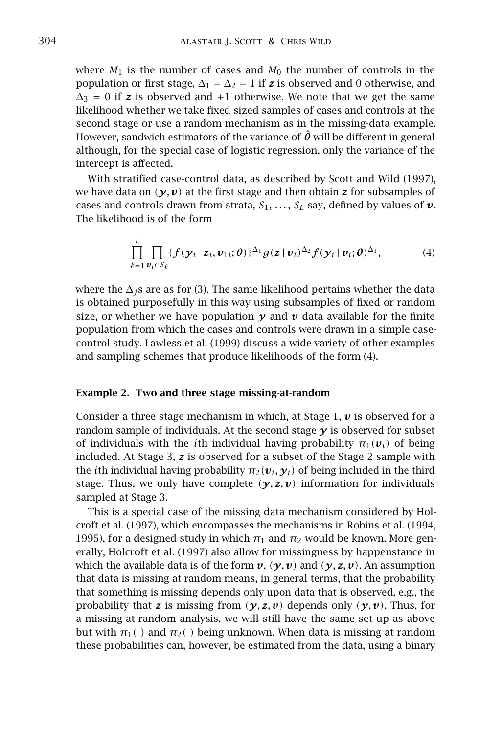where  $M_1$  is the number of cases and  $M_0$  the number of controls in the population or first stage,  $\Delta_1 = \Delta_2 = 1$  if **z** is observed and 0 otherwise, and  $\Delta_3 = 0$  if **z** is observed and +1 otherwise. We note that we get the same likelihood whether we take fixed sized samples of cases and controls at the second stage or use a random mechanism as in the missing-data example. However, sandwich estimators of the variance of  $\hat{\theta}$  will be different in general although, for the special case of logistic regression, only the variance of the intercept is affected.

With stratified case-control data, as described by Scott and Wild (1997), we have data on  $(y, v)$  at the first stage and then obtain **z** for subsamples of cases and controls drawn from strata,  $S_1, \ldots, S_L$  say, defined by values of  $v$ . The likelihood is of the form

$$
\prod_{\ell=1}^{L} \prod_{\mathbf{v}_i \in S_{\ell}} \{f(\mathbf{y}_i \mid \mathbf{z}_i, \mathbf{v}_{1i}; \boldsymbol{\theta})\}^{\Delta_1} g(\mathbf{z} \mid \mathbf{v}_i)^{\Delta_2} f(\mathbf{y}_i \mid \mathbf{v}_i; \boldsymbol{\theta})^{\Delta_3},\tag{4}
$$

where the ∆*j*s are as for (3). The same likelihood pertains whether the data is obtained purposefully in this way using subsamples of fixed or random size, or whether we have population  $\gamma$  and  $\nu$  data available for the finite population from which the cases and controls were drawn in a simple casecontrol study. Lawless et al. (1999) discuss a wide variety of other examples and sampling schemes that produce likelihoods of the form (4).

#### Example 2. Two and three stage missing-at-random

Consider a three stage mechanism in which, at Stage 1, *v* is observed for a random sample of individuals. At the second stage  $\gamma$  is observed for subset of individuals with the *i*th individual having probability  $\pi_1(\mathbf{v}_i)$  of being included. At Stage 3, *z* is observed for a subset of the Stage 2 sample with the *i*th individual having probability  $\pi_2(\boldsymbol{v}_i, \boldsymbol{y}_i)$  of being included in the third stage. Thus, we only have complete  $(y, z, v)$  information for individuals sampled at Stage 3.

This is a special case of the missing data mechanism considered by Holcroft et al. (1997), which encompasses the mechanisms in Robins et al. (1994, 1995), for a designed study in which  $\pi_1$  and  $\pi_2$  would be known. More generally, Holcroft et al. (1997) also allow for missingness by happenstance in which the available data is of the form  $v$ ,  $(y, v)$  and  $(y, z, v)$ . An assumption that data is missing at random means, in general terms, that the probability that something is missing depends only upon data that is observed, e.g., the probability that *z* is missing from  $(y, z, v)$  depends only  $(y, v)$ . Thus, for a missing-at-random analysis, we will still have the same set up as above but with  $\pi_1$ <sup>()</sup> and  $\pi_2$ <sup>()</sup> being unknown. When data is missing at random these probabilities can, however, be estimated from the data, using a binary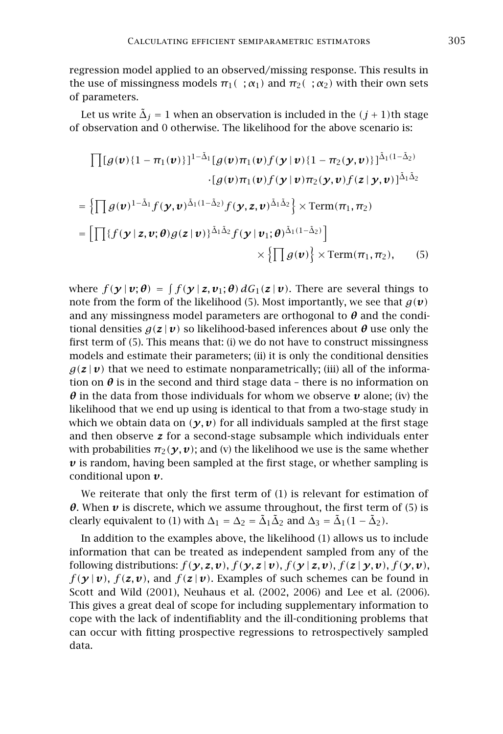regression model applied to an observed/missing response. This results in the use of missingness models  $\pi_1(\cdot;\alpha_1)$  and  $\pi_2(\cdot;\alpha_2)$  with their own sets of parameters.

Let us write  $\tilde{\Delta}_j = 1$  when an observation is included in the  $(j + 1)$ th stage of observation and 0 otherwise. The likelihood for the above scenario is:

$$
\begin{aligned}\n\prod[g(\boldsymbol{v})\{1-\pi_1(\boldsymbol{v})\}]^{1-\tilde{\Delta}_1}[g(\boldsymbol{v})\pi_1(\boldsymbol{v})f(\boldsymbol{y}|\boldsymbol{v})\{1-\pi_2(\boldsymbol{y},\boldsymbol{v})\}]^{\tilde{\Delta}_1(1-\tilde{\Delta}_2)} \\
&\cdot[g(\boldsymbol{v})\pi_1(\boldsymbol{v})f(\boldsymbol{y}|\boldsymbol{v})\pi_2(\boldsymbol{y},\boldsymbol{v})f(\boldsymbol{z}|\boldsymbol{y},\boldsymbol{v})]^{\tilde{\Delta}_1\tilde{\Delta}_2} \\
= \left\{\prod g(\boldsymbol{v})^{1-\tilde{\Delta}_1}f(\boldsymbol{y},\boldsymbol{v})^{\tilde{\Delta}_1(1-\tilde{\Delta}_2)}f(\boldsymbol{y},\boldsymbol{z},\boldsymbol{v})^{\tilde{\Delta}_1\tilde{\Delta}_2}\right\}\times\text{Term}(\pi_1,\pi_2) \\
= \left[\prod\{f(\boldsymbol{y}|\boldsymbol{z},\boldsymbol{v};\boldsymbol{\theta})g(\boldsymbol{z}|\boldsymbol{v})\}^{\tilde{\Delta}_1\tilde{\Delta}_2}f(\boldsymbol{y}|\boldsymbol{v}_1;\boldsymbol{\theta})^{\tilde{\Delta}_1(1-\tilde{\Delta}_2)}\right] \\
&\times \left\{\prod g(\boldsymbol{v})\right\}\times\text{Term}(\pi_1,\pi_2),\n\end{aligned} \tag{5}
$$

where  $f(\mathbf{y} | \mathbf{v}; \theta) = \int f(\mathbf{y} | \mathbf{z}, \mathbf{v}_1; \theta) dG_1(\mathbf{z} | \mathbf{v})$ . There are several things to note from the form of the likelihood (5). Most importantly, we see that  $q(\boldsymbol{v})$ and any missingness model parameters are orthogonal to  $\theta$  and the conditional densities  $g(z | v)$  so likelihood-based inferences about  $\theta$  use only the first term of (5). This means that: (i) we do not have to construct missingness models and estimate their parameters; (ii) it is only the conditional densities  $g(z|\mathbf{v})$  that we need to estimate nonparametrically; (iii) all of the information on  $\theta$  is in the second and third stage data – there is no information on *θ* in the data from those individuals for whom we observe *v* alone; (iv) the likelihood that we end up using is identical to that from a two-stage study in which we obtain data on  $(\gamma, \nu)$  for all individuals sampled at the first stage and then observe *z* for a second-stage subsample which individuals enter with probabilities  $\pi_2(\gamma, \nu)$ ; and (v) the likelihood we use is the same whether  $\nu$  is random, having been sampled at the first stage, or whether sampling is conditional upon *v*.

We reiterate that only the first term of (1) is relevant for estimation of *θ*. When *v* is discrete, which we assume throughout, the first term of (5) is clearly equivalent to (1) with  $\Delta_1 = \Delta_2 = \tilde{\Delta}_1 \tilde{\Delta}_2$  and  $\Delta_3 = \tilde{\Delta}_1 (1 - \tilde{\Delta}_2)$ .

In addition to the examples above, the likelihood (1) allows us to include information that can be treated as independent sampled from any of the following distributions:  $f(\mathbf{y}, \mathbf{z}, \mathbf{v}), f(\mathbf{y}, \mathbf{z} | \mathbf{v}), f(\mathbf{y} | \mathbf{z}, \mathbf{v}), f(\mathbf{z} | \mathbf{y}, \mathbf{v}), f(\mathbf{y}, \mathbf{v}),$  $f(\gamma | \nu)$ ,  $f(z, \nu)$ , and  $f(z | \nu)$ . Examples of such schemes can be found in Scott and Wild (2001), Neuhaus et al. (2002, 2006) and Lee et al. (2006). This gives a great deal of scope for including supplementary information to cope with the lack of indentifiablity and the ill-conditioning problems that can occur with fitting prospective regressions to retrospectively sampled data.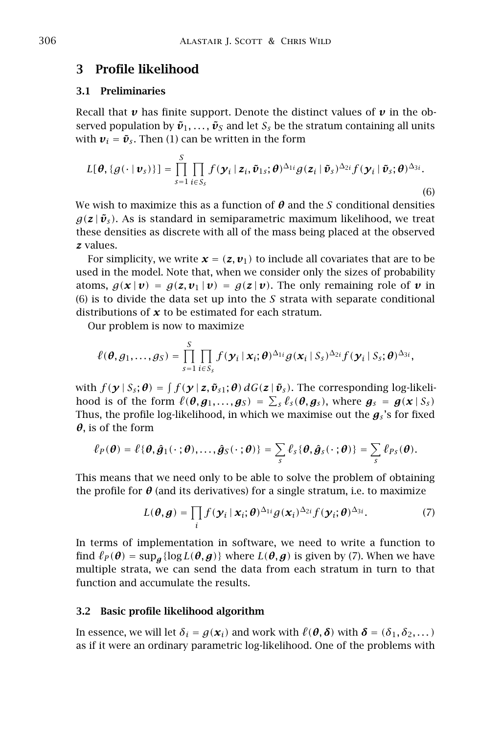## 3 Profile likelihood

#### 3.1 Preliminaries

Recall that  $\nu$  has finite support. Denote the distinct values of  $\nu$  in the observed population by  $\tilde{\boldsymbol{v}}_1, \ldots, \tilde{\boldsymbol{v}}_S$  and let  $S_s$  be the stratum containing all units with  $v_i = \tilde{v}_s$ . Then (1) can be written in the form

$$
L[\boldsymbol{\theta}, \{g(\cdot \mid \boldsymbol{v}_s)\}] = \prod_{s=1}^S \prod_{i \in S_s} f(\boldsymbol{y}_i \mid \boldsymbol{z}_i, \tilde{\boldsymbol{v}}_{1s}; \boldsymbol{\theta})^{\Delta_{1i}} g(\boldsymbol{z}_i \mid \tilde{\boldsymbol{v}}_s)^{\Delta_{2i}} f(\boldsymbol{y}_i \mid \tilde{\boldsymbol{v}}_s; \boldsymbol{\theta})^{\Delta_{3i}}.
$$
\n(6)

We wish to maximize this as a function of *θ* and the *S* conditional densities  $g(z|\tilde{\boldsymbol{v}}_s)$ . As is standard in semiparametric maximum likelihood, we treat these densities as discrete with all of the mass being placed at the observed *z* values.

For simplicity, we write  $\mathbf{x} = (\mathbf{z}, \mathbf{v}_1)$  to include all covariates that are to be used in the model. Note that, when we consider only the sizes of probability atoms,  $g(x | v) = g(z, v_1 | v) = g(z | v)$ . The only remaining role of v in (6) is to divide the data set up into the *S* strata with separate conditional distributions of *x* to be estimated for each stratum.

Our problem is now to maximize

$$
\ell(\boldsymbol{\theta},g_1,\ldots,g_S)=\prod_{s=1}^S\prod_{i\in S_s}f(\boldsymbol{y}_i\,|\,\boldsymbol{x}_i;\boldsymbol{\theta})^{\Delta_{1i}}g(\boldsymbol{x}_i\,|\,S_s)^{\Delta_{2i}}f(\boldsymbol{y}_i\,|\,S_s;\boldsymbol{\theta})^{\Delta_{3i}},
$$

 $\text{with } f(\mathbf{y} | S_s; \boldsymbol{\theta}) = \int f(\mathbf{y} | \mathbf{z}, \tilde{\mathbf{v}}_{s1}; \boldsymbol{\theta}) dG(\mathbf{z} | \tilde{\mathbf{v}}_s).$  The corresponding log-likelihood is of the form  $\ell(\theta, g_1, \ldots, g_S) = \sum_s \ell_s(\theta, g_s)$ , where  $g_s = g(x | S_s)$ Thus, the profile log-likelihood, in which we maximise out the  $g_s$ 's for fixed *θ*, is of the form

$$
\ell_P(\boldsymbol{\theta}) = \ell \{ \boldsymbol{\theta}, \hat{\boldsymbol{g}}_1(\cdot ; \boldsymbol{\theta}), \ldots, \hat{\boldsymbol{g}}_S(\cdot ; \boldsymbol{\theta}) \} = \sum_{s} \ell_s \{ \boldsymbol{\theta}, \hat{\boldsymbol{g}}_s(\cdot ; \boldsymbol{\theta}) \} = \sum_{s} \ell_{Ps}(\boldsymbol{\theta}).
$$

This means that we need only to be able to solve the problem of obtaining the profile for  $\theta$  (and its derivatives) for a single stratum, i.e. to maximize

$$
L(\boldsymbol{\theta}, \boldsymbol{g}) = \prod_i f(\boldsymbol{y}_i \,|\, \boldsymbol{x}_i; \boldsymbol{\theta})^{\Delta_{1i}} g(\boldsymbol{x}_i)^{\Delta_{2i}} f(\boldsymbol{y}_i; \boldsymbol{\theta})^{\Delta_{3i}}.
$$
 (7)

In terms of implementation in software, we need to write a function to find  $\ell_P(\theta) = \sup_{\mathbf{a}} \{ \log L(\theta, \mathbf{g}) \}$  where  $L(\theta, \mathbf{g})$  is given by (7). When we have multiple strata, we can send the data from each stratum in turn to that function and accumulate the results.

### 3.2 Basic profile likelihood algorithm

In essence, we will let  $\delta_i = g(\mathbf{x}_i)$  and work with  $\ell(\theta, \delta)$  with  $\delta = (\delta_1, \delta_2, \dots)$ as if it were an ordinary parametric log-likelihood. One of the problems with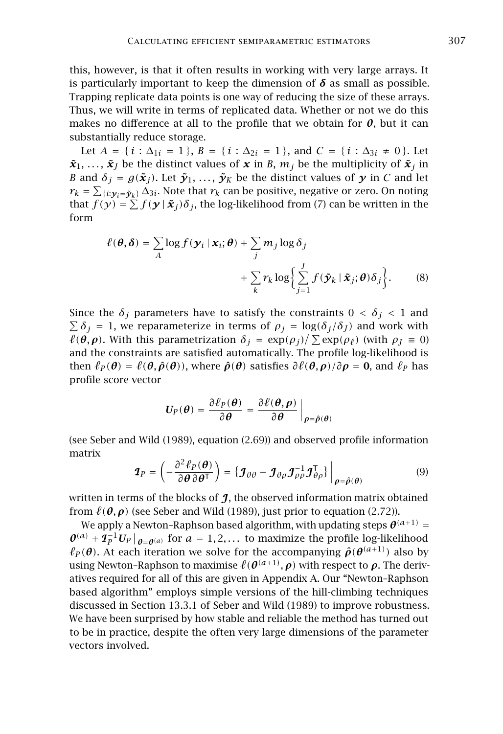this, however, is that it often results in working with very large arrays. It is particularly important to keep the dimension of  $\delta$  as small as possible. Trapping replicate data points is one way of reducing the size of these arrays. Thus, we will write in terms of replicated data. Whether or not we do this makes no difference at all to the profile that we obtain for  $\theta$ , but it can substantially reduce storage.

Let  $A = \{ i : \Delta_{1i} = 1 \}$ ,  $B = \{ i : \Delta_{2i} = 1 \}$ , and  $C = \{ i : \Delta_{3i} \neq 0 \}$ . Let  $\tilde{\boldsymbol{x}}_1, \ldots, \tilde{\boldsymbol{x}}_I$  be the distinct values of  $\boldsymbol{x}$  in *B*,  $m_j$  be the multiplicity of  $\tilde{\boldsymbol{x}}_j$  in *B* and  $\delta$ <sup>*j*</sup> = *g*( $\tilde{\mathbf{x}}$ *j*). Let  $\tilde{\mathbf{y}}$ <sub>1</sub>, ...,  $\tilde{\mathbf{y}}$ <sub>K</sub> be the distinct values of  $\mathbf{y}$  in *C* and let  $r_k = \sum_{\{i: \mathbf{y}_i = \tilde{\mathbf{y}}_k\}} \Delta_{3i}$ . Note that  $r_k$  can be positive, negative or zero. On noting that  $f(y) = \sum f(\mathbf{y} | \mathbf{x}_j) \delta_j$ , the log-likelihood from (7) can be written in the form

$$
\ell(\boldsymbol{\theta}, \boldsymbol{\delta}) = \sum_{A} \log f(\mathbf{y}_i \mid \mathbf{x}_i; \boldsymbol{\theta}) + \sum_{j} m_j \log \delta_j
$$

$$
+ \sum_{k} r_k \log \left\{ \sum_{j=1}^{J} f(\tilde{\mathbf{y}}_k \mid \tilde{\mathbf{x}}_j; \boldsymbol{\theta}) \delta_j \right\}.
$$
(8)

Since the  $\delta$ *j* parameters have to satisfy the constraints  $0 < \delta$ <sup>*j*</sup>  $< 1$  and  $\sum \delta_j = 1$ , we reparameterize in terms of  $\rho_j = \log(\delta_j/\delta_j)$  and work with *θ*(*θ*, *ρ*). With this parametrization  $\delta_j = \exp(\rho_j) / \sum \exp(\rho_\ell)$  (with  $\rho_j \equiv 0$ ) and the constraints are satisfied automatically. The profile log-likelihood is then  $\ell_P(\theta) = \ell(\theta, \hat{\rho}(\theta))$ , where  $\hat{\rho}(\theta)$  satisfies  $\partial \ell(\theta, \rho)/\partial \rho = 0$ , and  $\ell_P$  has profile score vector

$$
U_P(\boldsymbol{\theta}) = \frac{\partial \ell_P(\boldsymbol{\theta})}{\partial \boldsymbol{\theta}} = \frac{\partial \ell(\boldsymbol{\theta}, \boldsymbol{\rho})}{\partial \boldsymbol{\theta}}\bigg|_{\boldsymbol{\rho} = \hat{\boldsymbol{\rho}}(\boldsymbol{\theta})}
$$

(see Seber and Wild (1989), equation (2.69)) and observed profile information matrix

$$
\boldsymbol{I}_P = \left(-\frac{\partial^2 \ell_P(\boldsymbol{\theta})}{\partial \boldsymbol{\theta} \partial \boldsymbol{\theta}^{\mathsf{T}}}\right) = \left\{\boldsymbol{J}_{\theta\theta} - \boldsymbol{J}_{\theta\rho}\boldsymbol{J}_{\rho\rho}^{-1}\boldsymbol{J}_{\theta\rho}^{\mathsf{T}}\right\}\bigg|_{\boldsymbol{\rho} = \hat{\boldsymbol{\rho}}(\boldsymbol{\theta})}
$$
(9)

written in terms of the blocks of  $\eta$ , the observed information matrix obtained from  $\ell(\theta, \rho)$  (see Seber and Wild (1989), just prior to equation (2.72)).

We apply a Newton-Raphson based algorithm, with updating steps  $\boldsymbol{\theta}^{(a+1)}$  =  $\theta^{(a)} + \mathcal{I}_P^{-1} U_P \big|_{\theta = \theta^{(a)}}$  for  $a = 1, 2, \dots$  to maximize the profile log-likelihood  $\ell_P(\bm{\theta})$ . At each iteration we solve for the accompanying  $\hat{\bm{\rho}}(\bm{\theta}^{(a+1)})$  also by  $\bm{\omega}$  using Newton-Raphson to maximise  $\ell(\bm{\theta}^{(a+1)}, \bm{\rho})$  with respect to  $\bm{\rho}$ . The derivatives required for all of this are given in Appendix A. Our "Newton–Raphson based algorithm" employs simple versions of the hill-climbing techniques discussed in Section 13.3.1 of Seber and Wild (1989) to improve robustness. We have been surprised by how stable and reliable the method has turned out to be in practice, despite the often very large dimensions of the parameter vectors involved.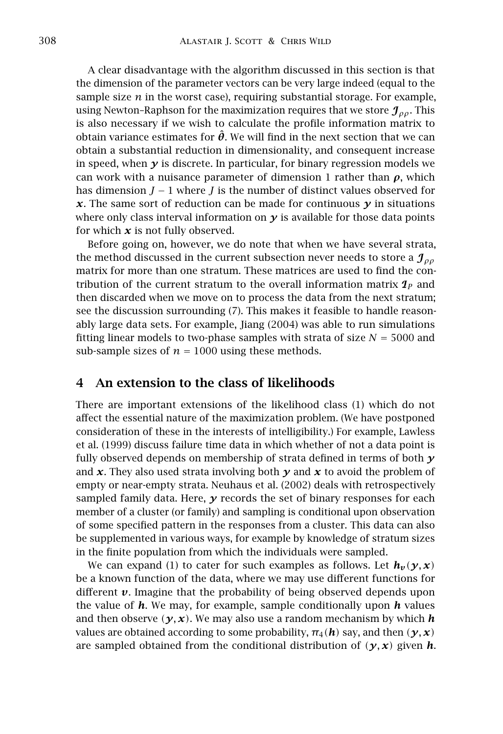A clear disadvantage with the algorithm discussed in this section is that the dimension of the parameter vectors can be very large indeed (equal to the sample size  $n$  in the worst case), requiring substantial storage. For example, using Newton–Raphson for the maximization requires that we store J*ρρ*. This is also necessary if we wish to calculate the profile information matrix to obtain variance estimates for  $\hat{\theta}$ . We will find in the next section that we can obtain a substantial reduction in dimensionality, and consequent increase in speed, when *y* is discrete. In particular, for binary regression models we can work with a nuisance parameter of dimension 1 rather than *ρ*, which has dimension *J* − 1 where *J* is the number of distinct values observed for  $x$ . The same sort of reduction can be made for continuous  $\gamma$  in situations where only class interval information on  $y$  is available for those data points for which  $x$  is not fully observed.

Before going on, however, we do note that when we have several strata, the method discussed in the current subsection never needs to store a J*ρρ* matrix for more than one stratum. These matrices are used to find the contribution of the current stratum to the overall information matrix I*<sup>P</sup>* and then discarded when we move on to process the data from the next stratum; see the discussion surrounding (7). This makes it feasible to handle reasonably large data sets. For example, Jiang (2004) was able to run simulations fitting linear models to two-phase samples with strata of size  $N = 5000$  and sub-sample sizes of  $n = 1000$  using these methods.

## 4 An extension to the class of likelihoods

There are important extensions of the likelihood class (1) which do not affect the essential nature of the maximization problem. (We have postponed consideration of these in the interests of intelligibility.) For example, Lawless et al. (1999) discuss failure time data in which whether of not a data point is fully observed depends on membership of strata defined in terms of both *y* and *x*. They also used strata involving both *y* and *x* to avoid the problem of empty or near-empty strata. Neuhaus et al. (2002) deals with retrospectively sampled family data. Here, *y* records the set of binary responses for each member of a cluster (or family) and sampling is conditional upon observation of some specified pattern in the responses from a cluster. This data can also be supplemented in various ways, for example by knowledge of stratum sizes in the finite population from which the individuals were sampled.

We can expand (1) to cater for such examples as follows. Let  $h_\nu(y, x)$ be a known function of the data, where we may use different functions for different *v*. Imagine that the probability of being observed depends upon the value of *h*. We may, for example, sample conditionally upon *h* values and then observe  $(\gamma, x)$ . We may also use a random mechanism by which *h* values are obtained according to some probability,  $\pi_4$  (*h*) say, and then  $(\gamma, x)$ are sampled obtained from the conditional distribution of  $(y, x)$  given **h**.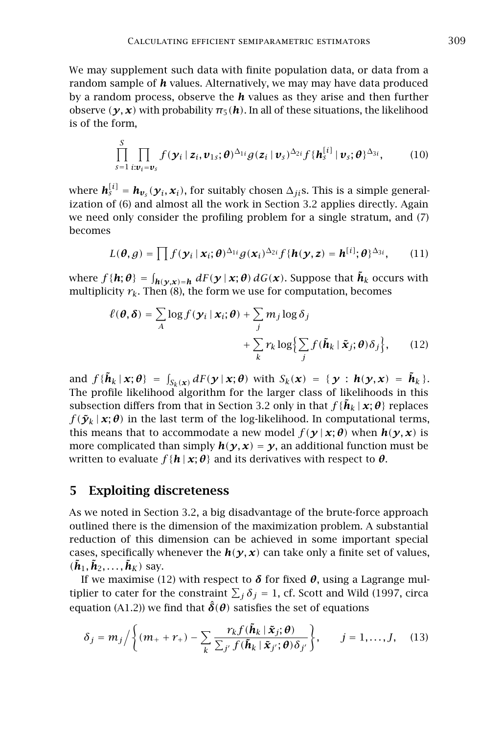We may supplement such data with finite population data, or data from a random sample of *h* values. Alternatively, we may may have data produced by a random process, observe the *h* values as they arise and then further observe  $(\gamma, x)$  with probability  $\pi_5(h)$ . In all of these situations, the likelihood is of the form,

$$
\prod_{s=1}^{S} \prod_{i:\boldsymbol{v}_i=\boldsymbol{v}_s} f(\boldsymbol{y}_i \mid \boldsymbol{z}_i, \boldsymbol{v}_{1s}; \boldsymbol{\theta})^{\Delta_{1i}} g(\boldsymbol{z}_i \mid \boldsymbol{v}_s)^{\Delta_{2i}} f\{\boldsymbol{h}_s^{[i]} \mid \boldsymbol{v}_s; \boldsymbol{\theta}\}^{\Delta_{3i}},
$$
(10)

where  $h_s^{[i]} = h_{v_s}(y_i, x_i)$ , for suitably chosen  $\Delta_{ji}$ s. This is a simple generalization of (6) and almost all the work in Section 3.2 applies directly. Again we need only consider the profiling problem for a single stratum, and (7) becomes

$$
L(\boldsymbol{\theta}, g) = \prod f(\mathbf{y}_i \,|\, \mathbf{x}_i; \boldsymbol{\theta})^{\Delta_{1i}} g(\mathbf{x}_i)^{\Delta_{2i}} f\{\mathbf{h}(\mathbf{y}, \mathbf{z}) = \mathbf{h}^{[i]}; \boldsymbol{\theta}\}^{\Delta_{3i}},\qquad(11)
$$

where  $f\{\bm{h};\bm{\theta}\} = \int_{\bm{h}(\bm{y},\bm{x})=\bm{h}} dF(\bm{y}\,|\,\bm{x};\bm{\theta})\,dG(\bm{x})$ . Suppose that  $\tilde{\bm{h}}_k$  occurs with multiplicity  $r_k$ . Then (8), the form we use for computation, becomes

$$
\ell(\boldsymbol{\theta}, \boldsymbol{\delta}) = \sum_{A} \log f(\boldsymbol{\gamma}_i \,|\, \boldsymbol{x}_i; \boldsymbol{\theta}) + \sum_{j} m_j \log \delta_j
$$

$$
+ \sum_{k} r_k \log \Bigl\{ \sum_{j} f(\tilde{\boldsymbol{\mu}}_k \,|\, \tilde{\boldsymbol{x}}_j; \boldsymbol{\theta}) \delta_j \Bigr\}, \qquad (12)
$$

and  $f\{\tilde{\boldsymbol{h}}_k | \boldsymbol{x}; \boldsymbol{\theta}\} = \int_{S_k(\boldsymbol{x})} dF(\boldsymbol{y} | \boldsymbol{x}; \boldsymbol{\theta})$  with  $S_k(\boldsymbol{x}) = \{\boldsymbol{y} : \boldsymbol{h}(\boldsymbol{y}, \boldsymbol{x}) = \tilde{\boldsymbol{h}}_k\}.$ The profile likelihood algorithm for the larger class of likelihoods in this subsection differs from that in Section 3.2 only in that  $f\{\tilde{h}_k | x; \theta\}$  replaces  $f(\tilde{\mathbf{y}}_k | \mathbf{x}; \theta)$  in the last term of the log-likelihood. In computational terms, this means that to accommodate a new model  $f(\gamma | \mathbf{x}; \theta)$  when  $h(\gamma, \mathbf{x})$  is more complicated than simply  $h(y, x) = y$ , an additional function must be written to evaluate  $f\{\mathbf{h} \mid \mathbf{x}; \boldsymbol{\theta}\}\$  and its derivatives with respect to  $\boldsymbol{\theta}$ .

## 5 Exploiting discreteness

As we noted in Section 3.2, a big disadvantage of the brute-force approach outlined there is the dimension of the maximization problem. A substantial reduction of this dimension can be achieved in some important special cases, specifically whenever the  $h(\gamma, x)$  can take only a finite set of values,  $(\tilde{\boldsymbol{h}}_1, \tilde{\boldsymbol{h}}_2, \ldots, \tilde{\boldsymbol{h}}_K)$  say.

If we maximise (12) with respect to  $\delta$  for fixed  $\theta$ , using a Lagrange multiplier to cater for the constraint  $\sum_j \delta_j = 1$ , cf. Scott and Wild (1997, circa equation (A1.2)) we find that  $\hat{\delta}(\theta)$  satisfies the set of equations

$$
\delta_j = m_j / \left\{ (m_+ + r_+) - \sum_k \frac{r_k f(\tilde{\boldsymbol{h}}_k | \tilde{\boldsymbol{x}}_j; \boldsymbol{\theta})}{\sum_{j'} f(\tilde{\boldsymbol{h}}_k | \tilde{\boldsymbol{x}}_{j'}; \boldsymbol{\theta}) \delta_{j'}} \right\}, \qquad j = 1, \ldots, J, \quad (13)
$$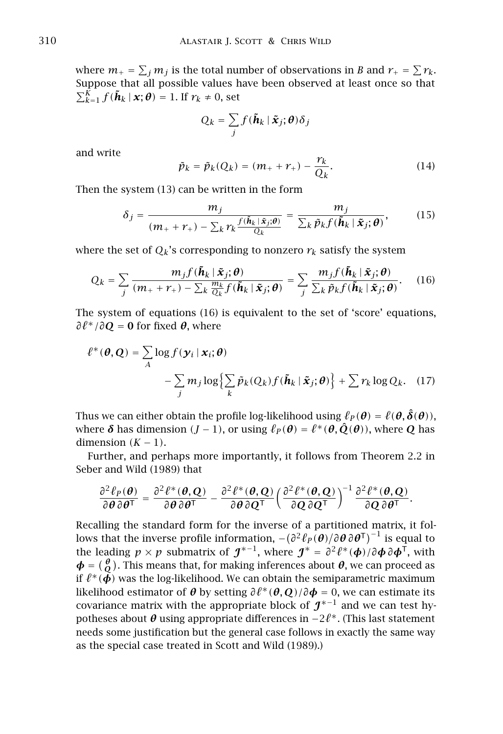where  $m_+ = \sum_j m_j$  is the total number of observations in *B* and  $r_+ = \sum r_k$ . Suppose that all possible values have been observed at least once so that  $\sum_{k=1}^{K} f(\boldsymbol{\tilde{h}}_k | \boldsymbol{x}; \boldsymbol{\theta}) = 1$ . If  $r_k \neq 0$ , set

$$
Q_k = \sum_j f(\tilde{\boldsymbol{h}}_k | \tilde{\boldsymbol{x}}_j; \boldsymbol{\theta}) \delta_j
$$

and write

$$
\tilde{p}_k = \tilde{p}_k(Q_k) = (m_+ + r_+) - \frac{r_k}{Q_k}.\tag{14}
$$

Then the system (13) can be written in the form

$$
\delta_j = \frac{m_j}{(m_+ + r_+) - \sum_k r_k \frac{f(\tilde{\mathbf{h}}_k | \tilde{\mathbf{x}}_j; \boldsymbol{\theta})}{Q_k}} = \frac{m_j}{\sum_k \tilde{p}_k f(\tilde{\mathbf{h}}_k | \tilde{\mathbf{x}}_j; \boldsymbol{\theta})},
$$
(15)

where the set of  $Q_k$ 's corresponding to nonzero  $r_k$  satisfy the system

$$
Q_k = \sum_j \frac{m_j f(\tilde{\mathbf{h}}_k | \tilde{\mathbf{x}}_j; \boldsymbol{\theta})}{(m_+ + r_+) - \sum_k \frac{m_k}{Q_k} f(\tilde{\mathbf{h}}_k | \tilde{\mathbf{x}}_j; \boldsymbol{\theta})} = \sum_j \frac{m_j f(\tilde{\mathbf{h}}_k | \tilde{\mathbf{x}}_j; \boldsymbol{\theta})}{\sum_k \tilde{p}_k f(\tilde{\mathbf{h}}_k | \tilde{\mathbf{x}}_j; \boldsymbol{\theta})}.
$$
 (16)

The system of equations (16) is equivalent to the set of 'score' equations,  $\partial \ell^* / \partial \mathbf{Q} = \mathbf{0}$  for fixed  $\theta$ , where

$$
\ell^*(\boldsymbol{\theta}, \mathbf{Q}) = \sum_{A} \log f(\mathbf{y}_i \mid \mathbf{x}_i; \boldsymbol{\theta})
$$

$$
- \sum_{j} m_j \log \Bigl\{ \sum_{k} \tilde{p}_k(Q_k) f(\tilde{\boldsymbol{h}}_k \mid \tilde{\mathbf{x}}_j; \boldsymbol{\theta}) \Bigr\} + \sum_{k} r_k \log Q_k. \quad (17)
$$

Thus we can either obtain the profile log-likelihood using  $\ell_P(\theta) = \ell(\theta, \hat{\delta}(\theta))$ , where  $\boldsymbol{\delta}$  has dimension  $(J-1)$ , or using  $\ell_P(\boldsymbol{\theta}) = \ell^*(\boldsymbol{\theta},\hat{\boldsymbol{Q}}(\boldsymbol{\theta}))$ , where  $\boldsymbol{Q}$  has dimension  $(K - 1)$ .

Further, and perhaps more importantly, it follows from Theorem 2.2 in Seber and Wild (1989) that

$$
\frac{\partial^2 \ell_P(\boldsymbol{\theta})}{\partial \boldsymbol{\theta} \partial \boldsymbol{\theta}^{\mathsf{T}}} = \frac{\partial^2 \ell^*(\boldsymbol{\theta}, \boldsymbol{Q})}{\partial \boldsymbol{\theta} \partial \boldsymbol{\theta}^{\mathsf{T}}} - \frac{\partial^2 \ell^*(\boldsymbol{\theta}, \boldsymbol{Q})}{\partial \boldsymbol{\theta} \partial \boldsymbol{Q}^{\mathsf{T}}} \bigg( \frac{\partial^2 \ell^*(\boldsymbol{\theta}, \boldsymbol{Q})}{\partial \boldsymbol{Q} \partial \boldsymbol{Q}^{\mathsf{T}}} \bigg)^{-1} \frac{\partial^2 \ell^*(\boldsymbol{\theta}, \boldsymbol{Q})}{\partial \boldsymbol{Q} \partial \boldsymbol{\theta}^{\mathsf{T}}}.
$$

Recalling the standard form for the inverse of a partitioned matrix, it follows that the inverse profile information,  $-(\partial^2 \ell_P(\bm{\theta})/\partial \bm{\theta} \, \partial \bm{\theta}^\mathsf{T})^{-1}$  is equal to the leading  $p \times p$  submatrix of  $\mathcal{J}^{*-1}$ , where  $\mathcal{J}^* = \frac{\partial^2 \ell^*(\phi)}{\partial \phi \partial \phi}$ , with  $\boldsymbol{\phi} = (\begin{smallmatrix} \boldsymbol{\theta} \\ \mathcal{Q} \end{smallmatrix})$ . This means that, for making inferences about  $\boldsymbol{\theta}$ , we can proceed as if  $\ell^*(\phi)$  was the log-likelihood. We can obtain the semiparametric maximum likelihood estimator of  $\theta$  by setting  $\partial l^*(\theta, Q)/\partial \phi = 0$ , we can estimate its covariance matrix with the appropriate block of  $\boldsymbol{\mathcal{J}}^{*-1}$  and we can test hypotheses about *θ* using appropriate differences in −2*`* <sup>∗</sup>. (This last statement needs some justification but the general case follows in exactly the same way as the special case treated in Scott and Wild (1989).)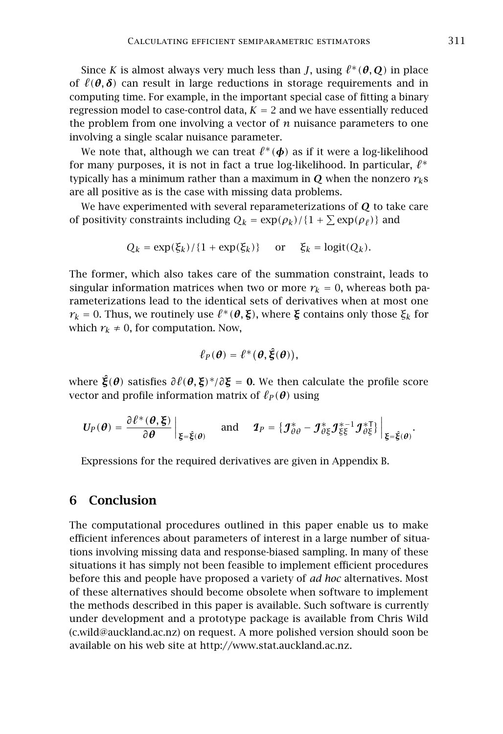Since *K* is almost always very much less than *J*, using  $\ell^*(\theta, \mathbf{Q})$  in place of  $\ell(\theta, \delta)$  can result in large reductions in storage requirements and in computing time. For example, in the important special case of fitting a binary regression model to case-control data,  $K = 2$  and we have essentially reduced the problem from one involving a vector of *n* nuisance parameters to one involving a single scalar nuisance parameter.

We note that, although we can treat  $\ell^*(\boldsymbol\phi)$  as if it were a log-likelihood for many purposes, it is not in fact a true log-likelihood. In particular,  $\ell^*$ typically has a minimum rather than a maximum in *Q* when the nonzero  $r_k s$ are all positive as is the case with missing data problems.

We have experimented with several reparameterizations of *Q* to take care of positivity constraints including  $Q_k = \exp(\rho_k)/\{1 + \sum \exp(\rho_\ell)\}\$  and

$$
Q_k = \exp(\xi_k) / \{1 + \exp(\xi_k)\} \quad \text{or} \quad \xi_k = \text{logit}(Q_k).
$$

The former, which also takes care of the summation constraint, leads to singular information matrices when two or more  $r_k = 0$ , whereas both parameterizations lead to the identical sets of derivatives when at most one *r*<sub>*k*</sub> = 0. Thus, we routinely use  $\ell^*(\theta, \xi)$ , where  $\xi$  contains only those  $\xi_k$  for which  $r_k \neq 0$ , for computation. Now,

$$
\ell_P(\boldsymbol{\theta}) = \ell^*(\boldsymbol{\theta}, \hat{\boldsymbol{\xi}}(\boldsymbol{\theta})),
$$

where *ξ*ˆ*(θ)* satisfies *∂`(θ, ξ)* <sup>∗</sup>*/∂ξ* = **0**. We then calculate the profile score vector and profile information matrix of  $\ell_P(\theta)$  using

$$
U_P(\boldsymbol{\theta}) = \frac{\partial \ell^*(\boldsymbol{\theta}, \boldsymbol{\xi})}{\partial \boldsymbol{\theta}} \bigg|_{\boldsymbol{\xi} = \boldsymbol{\xi}(\boldsymbol{\theta})} \quad \text{and} \quad \boldsymbol{\mathcal{I}}_P = \{ \boldsymbol{\mathcal{J}}_{\theta\theta}^* - \boldsymbol{\mathcal{J}}_{\theta\xi}^* \boldsymbol{\mathcal{J}}_{\xi\xi}^{*-1} \boldsymbol{\mathcal{J}}_{\theta\xi}^{*\top} \} \bigg|_{\boldsymbol{\xi} = \boldsymbol{\xi}(\boldsymbol{\theta})}.
$$

Expressions for the required derivatives are given in Appendix B.

## 6 Conclusion

The computational procedures outlined in this paper enable us to make efficient inferences about parameters of interest in a large number of situations involving missing data and response-biased sampling. In many of these situations it has simply not been feasible to implement efficient procedures before this and people have proposed a variety of *ad hoc* alternatives. Most of these alternatives should become obsolete when software to implement the methods described in this paper is available. Such software is currently under development and a prototype package is available from Chris Wild (c.wild@auckland.ac.nz) on request. A more polished version should soon be available on his web site at http://www.stat.auckland.ac.nz.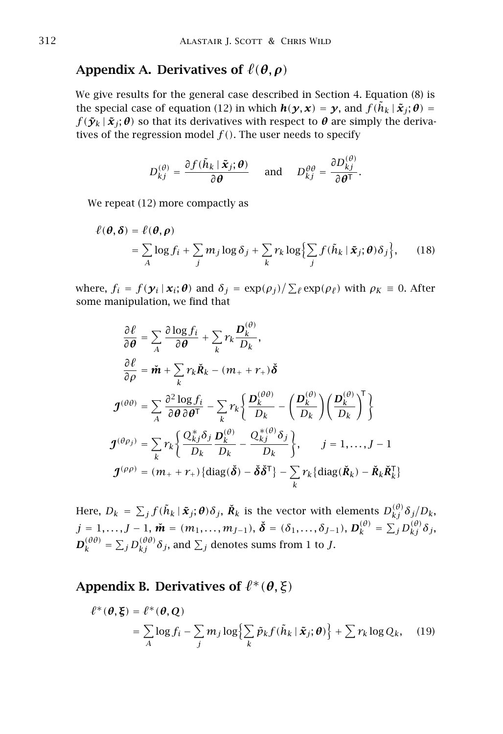## Appendix A. Derivatives of  $\ell(\theta, \rho)$

We give results for the general case described in Section 4. Equation (8) is the special case of equation (12) in which  $h(y, x) = y$ , and  $f(\tilde{h}_k | \tilde{x}_i; \theta) =$  $f(\tilde{\mathbf{y}}_k | \tilde{\mathbf{x}}_i; \theta)$  so that its derivatives with respect to  $\theta$  are simply the derivatives of the regression model  $f()$ . The user needs to specify

$$
D_{kj}^{(\theta)} = \frac{\partial f(\tilde{h}_k | \tilde{\boldsymbol{x}}_j; \boldsymbol{\theta})}{\partial \boldsymbol{\theta}} \quad \text{and} \quad D_{kj}^{\theta \theta} = \frac{\partial D_{kj}^{(\theta)}}{\partial \boldsymbol{\theta}^{\mathsf{T}}}.
$$

We repeat (12) more compactly as

$$
\ell(\boldsymbol{\theta}, \boldsymbol{\delta}) = \ell(\boldsymbol{\theta}, \boldsymbol{\rho})
$$
  
=  $\sum_{A} \log f_i + \sum_{j} m_j \log \delta_j + \sum_{k} r_k \log \Big{\sum_{j} f(\tilde{h}_k | \tilde{\boldsymbol{x}}_j; \boldsymbol{\theta}) \delta_j \Big},$  (18)

where,  $f_i = f(\mathbf{y}_i | \mathbf{x}_i; \boldsymbol{\theta})$  and  $\delta_j = \exp(\rho_j) / \sum_{\ell} \exp(\rho_{\ell})$  with  $\rho_K \equiv 0$ . After some manipulation, we find that

$$
\frac{\partial \ell}{\partial \theta} = \sum_{A} \frac{\partial \log f_i}{\partial \theta} + \sum_{k} r_k \frac{\mathbf{D}_k^{(\theta)}}{\mathbf{D}_k},
$$
\n
$$
\frac{\partial \ell}{\partial \rho} = \mathbf{\tilde{m}} + \sum_{k} r_k \mathbf{\tilde{R}}_k - (m_+ + r_+) \mathbf{\tilde{\delta}}
$$
\n
$$
\mathbf{J}^{(\theta \theta)} = \sum_{A} \frac{\partial^2 \log f_i}{\partial \theta \partial \theta^T} - \sum_{k} r_k \left\{ \frac{\mathbf{D}_k^{(\theta \theta)}}{\mathbf{D}_k} - \left( \frac{\mathbf{D}_k^{(\theta)}}{\mathbf{D}_k} \right) \left( \frac{\mathbf{D}_k^{(\theta)}}{\mathbf{D}_k} \right)^T \right\}
$$
\n
$$
\mathbf{J}^{(\theta \rho_j)} = \sum_{k} r_k \left\{ \frac{Q_{kj}^* \delta_j}{\mathbf{D}_k} \frac{\mathbf{D}_k^{(\theta)}}{\mathbf{D}_k} - \frac{Q_{kj}^{*(\theta)} \delta_j}{\mathbf{D}_k} \right\}, \qquad j = 1, ..., J - 1
$$
\n
$$
\mathbf{J}^{(\rho \rho)} = (m_+ + r_+) \left\{ \text{diag}(\mathbf{\tilde{\delta}}) - \mathbf{\tilde{\delta}} \mathbf{\tilde{\delta}}^T \right\} - \sum_{k} r_k \left\{ \text{diag}(\mathbf{\tilde{R}}_k) - \mathbf{\tilde{R}}_k \mathbf{\tilde{R}}_k^T \right\}
$$

Here,  $D_k \ = \ \sum_j f(\tilde{h}_k \,|\, \tilde{\bm{x}}_j ; \boldsymbol{\theta}) \delta_j, \ \tilde{\bm{R}}_k \ \text{is the vector with elements} \ D_{kj}^{(\theta)} \delta_j / D_k,$  $j=1,\ldots,J-1,$   $\boldsymbol{\check{m}}=(m_1,\ldots,m_{J-1}),$   $\boldsymbol{\check{\delta}}=(\delta_1,\ldots,\delta_{J-1}),$   $\boldsymbol{D}^{(\theta)}_k=\sum_j D^{(\theta)}_{kj}\delta_j,$  $\bm{D}^{(\theta\theta)}_k = \sum_j D^{(\theta\theta)}_{kj} \delta_j,$  and  $\sum_j$  denotes sums from 1 to *J*.

Appendix B. Derivatives of  $\ell^*(\theta, \xi)$ 

$$
\ell^*(\boldsymbol{\theta}, \boldsymbol{\xi}) = \ell^*(\boldsymbol{\theta}, \boldsymbol{Q})
$$
  
=  $\sum_{A} \log f_i - \sum_{j} m_j \log \left\{ \sum_{k} \tilde{p}_k f(\tilde{h}_k | \tilde{\boldsymbol{x}}_j; \boldsymbol{\theta}) \right\} + \sum r_k \log Q_k,$  (19)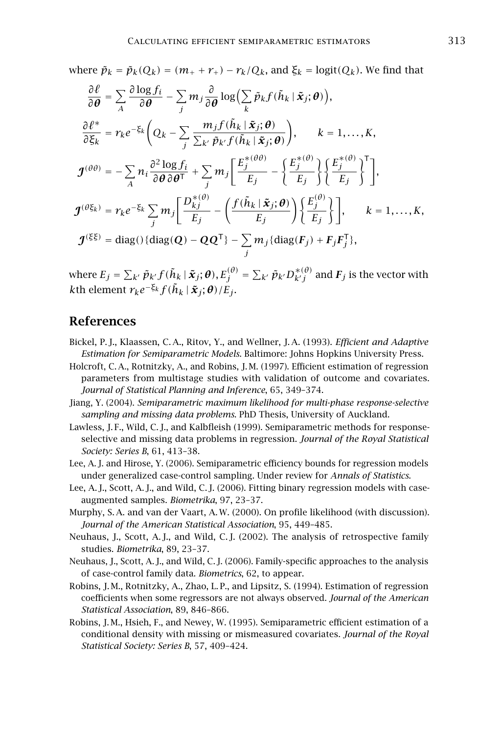where  $\tilde{p}_k = \tilde{p}_k(Q_k) = (m_+ + r_+) - r_k/Q_k$ , and  $\xi_k = \text{logit}(Q_k)$ . We find that

$$
\frac{\partial \ell}{\partial \theta} = \sum_{A} \frac{\partial \log f_i}{\partial \theta} - \sum_{j} m_j \frac{\partial}{\partial \theta} \log \Big( \sum_{k} \tilde{p}_k f(\tilde{h}_k | \tilde{x}_j; \theta) \Big),
$$
\n
$$
\frac{\partial \ell^*}{\partial \xi_k} = r_k e^{-\xi_k} \Big( Q_k - \sum_{j} \frac{m_j f(\tilde{h}_k | \tilde{x}_j; \theta)}{\sum_{k'} \tilde{p}_{k'} f(\tilde{h}_k | \tilde{x}_j; \theta)} \Big), \qquad k = 1, ..., K,
$$
\n
$$
\mathcal{J}^{(\theta \theta)} = -\sum_{A} n_i \frac{\partial^2 \log f_i}{\partial \theta \partial \theta^T} + \sum_{j} m_j \Big[ \frac{E_j^{*(\theta \theta)}}{E_j} - \Big\{ \frac{E_j^{*(\theta)}}{E_j} \Big\} \Big\{ \frac{E_j^{*(\theta)}}{E_j} \Big\}^T \Big],
$$
\n
$$
\mathcal{J}^{(\theta \xi_k)} = r_k e^{-\xi_k} \sum_{j} m_j \Big[ \frac{D_{kj}^{*(\theta)}}{E_j} - \Big( \frac{f(\tilde{h}_k | \tilde{x}_j; \theta)}{E_j} \Big) \Big\{ \frac{E_j^{(\theta)}}{E_j} \Big\} \Big], \qquad k = 1, ..., K,
$$
\n
$$
\mathcal{J}^{(\xi \xi)} = \text{diag}(\text{diag}(Q) - QQ^T\} - \sum_{j} m_j \{\text{diag}(F_j) + F_j F_j^T\},
$$

where  $E_j=\sum_{k'}\tilde{p}_{k'}f(\tilde{h}_{k}\mid\tilde{\bm{x}}_j;\bm{\theta}), E_j^{(\theta)}=\sum_{k'}\tilde{p}_{k'}D_{k'j}^{*(\theta)}$  and  $F_j$  is the vector with  $k$ th element  $r_k e^{-\xi_k} f(\tilde{h}_k | \tilde{\boldsymbol{x}}_j; \boldsymbol{\theta})/E_j$ .

## References

- Bickel, P. J., Klaassen, C. A., Ritov, Y., and Wellner, J. A. (1993). *Efficient and Adaptive Estimation for Semiparametric Models*. Baltimore: Johns Hopkins University Press.
- Holcroft, C. A., Rotnitzky, A., and Robins, J. M. (1997). Efficient estimation of regression parameters from multistage studies with validation of outcome and covariates. *Journal of Statistical Planning and Inference*, 65, 349–374.
- Jiang, Y. (2004). *Semiparametric maximum likelihood for multi-phase response-selective sampling and missing data problems*. PhD Thesis, University of Auckland.
- Lawless, J. F., Wild, C. J., and Kalbfleish (1999). Semiparametric methods for responseselective and missing data problems in regression. *Journal of the Royal Statistical Society: Series B*, 61, 413–38.
- Lee, A. J. and Hirose, Y. (2006). Semiparametric efficiency bounds for regression models under generalized case-control sampling. Under review for *Annals of Statistics*.
- Lee, A. J., Scott, A. J., and Wild, C. J. (2006). Fitting binary regression models with caseaugmented samples. *Biometrika*, 97, 23–37.
- Murphy, S. A. and van der Vaart, A. W. (2000). On profile likelihood (with discussion). *Journal of the American Statistical Association*, 95, 449–485.
- Neuhaus, J., Scott, A. J., and Wild, C. J. (2002). The analysis of retrospective family studies. *Biometrika*, 89, 23–37.
- Neuhaus, J., Scott, A. J., and Wild, C. J. (2006). Family-specific approaches to the analysis of case-control family data. *Biometrics*, 62, to appear.
- Robins, J. M., Rotnitzky, A., Zhao, L. P., and Lipsitz, S. (1994). Estimation of regression coefficients when some regressors are not always observed. *Journal of the American Statistical Association*, 89, 846–866.
- Robins, J. M., Hsieh, F., and Newey, W. (1995). Semiparametric efficient estimation of a conditional density with missing or mismeasured covariates. *Journal of the Royal Statistical Society: Series B*, 57, 409–424.